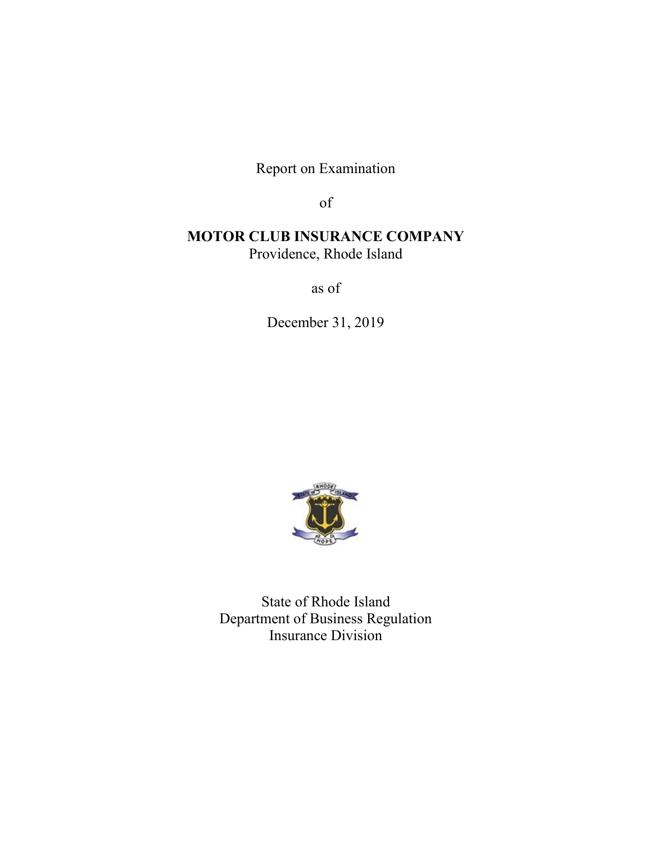Report on Examination

of

# **MOTOR CLUB INSURANCE COMPANY** Providence, Rhode Island

as of

December 31, 2019



State of Rhode Island Department of Business Regulation Insurance Division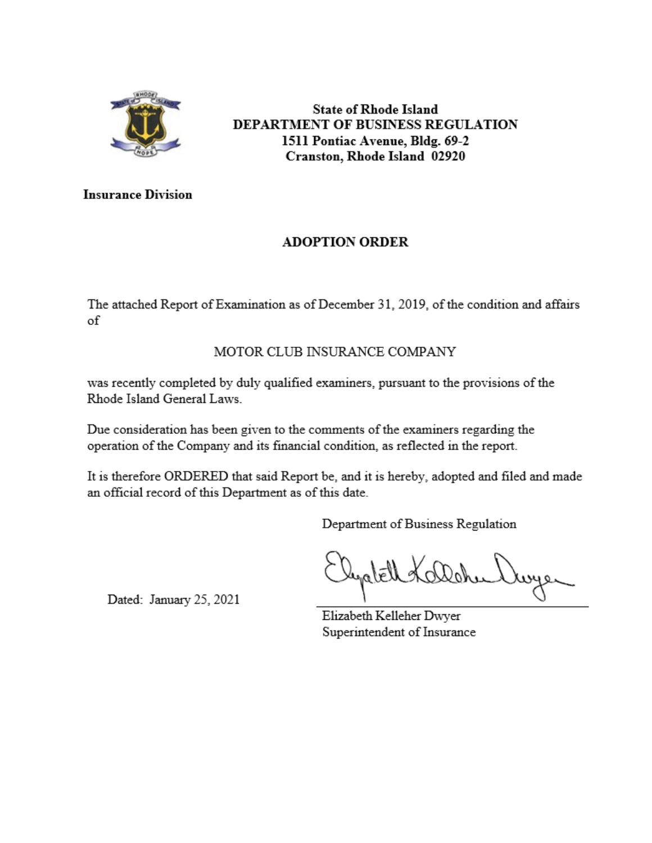

**State of Rhode Island** DEPARTMENT OF BUSINESS REGULATION 1511 Pontiac Avenue, Bldg. 69-2 Cranston, Rhode Island 02920

**Insurance Division** 

# **ADOPTION ORDER**

The attached Report of Examination as of December 31, 2019, of the condition and affairs of

# MOTOR CLUB INSURANCE COMPANY

was recently completed by duly qualified examiners, pursuant to the provisions of the Rhode Island General Laws.

Due consideration has been given to the comments of the examiners regarding the operation of the Company and its financial condition, as reflected in the report.

It is therefore ORDERED that said Report be, and it is hereby, adopted and filed and made an official record of this Department as of this date.

Department of Business Regulation

Dated: January 25, 2021

Elizabeth Kelleher Dwyer Superintendent of Insurance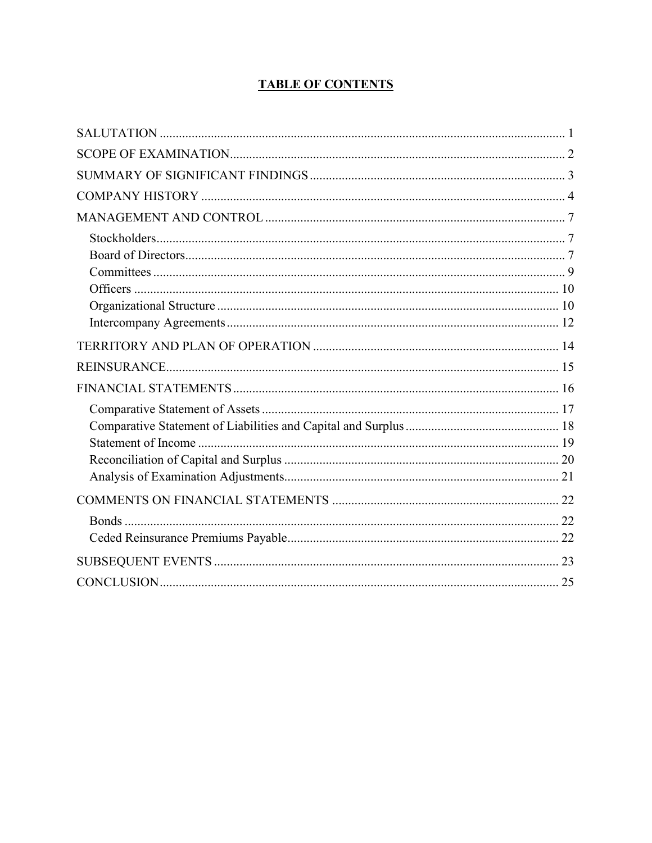# **TABLE OF CONTENTS**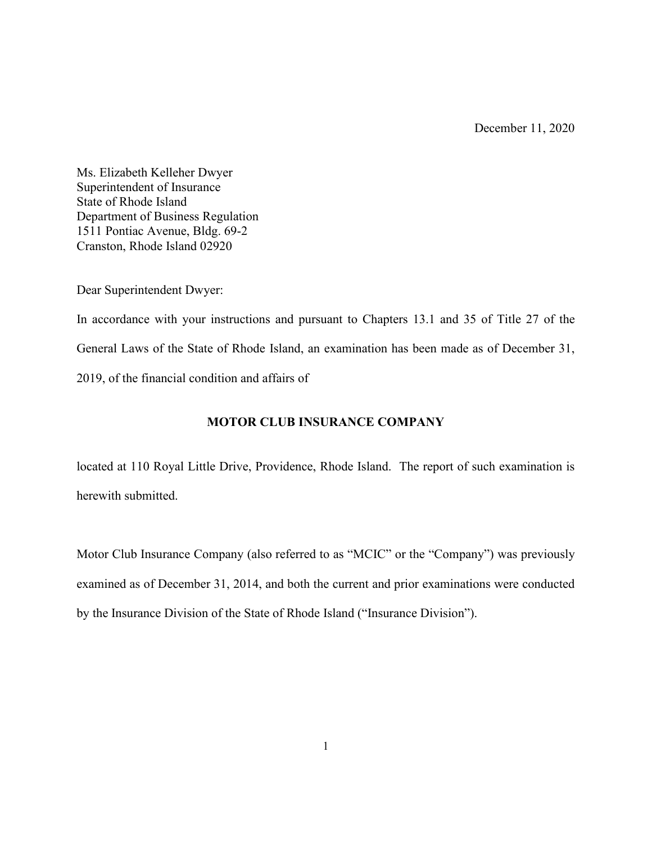December 11, 2020

Ms. Elizabeth Kelleher Dwyer Superintendent of Insurance State of Rhode Island Department of Business Regulation 1511 Pontiac Avenue, Bldg. 69-2 Cranston, Rhode Island 02920

Dear Superintendent Dwyer:

In accordance with your instructions and pursuant to Chapters 13.1 and 35 of Title 27 of the General Laws of the State of Rhode Island, an examination has been made as of December 31, 2019, of the financial condition and affairs of

# **MOTOR CLUB INSURANCE COMPANY**

located at 110 Royal Little Drive, Providence, Rhode Island. The report of such examination is herewith submitted.

Motor Club Insurance Company (also referred to as "MCIC" or the "Company") was previously examined as of December 31, 2014, and both the current and prior examinations were conducted by the Insurance Division of the State of Rhode Island ("Insurance Division").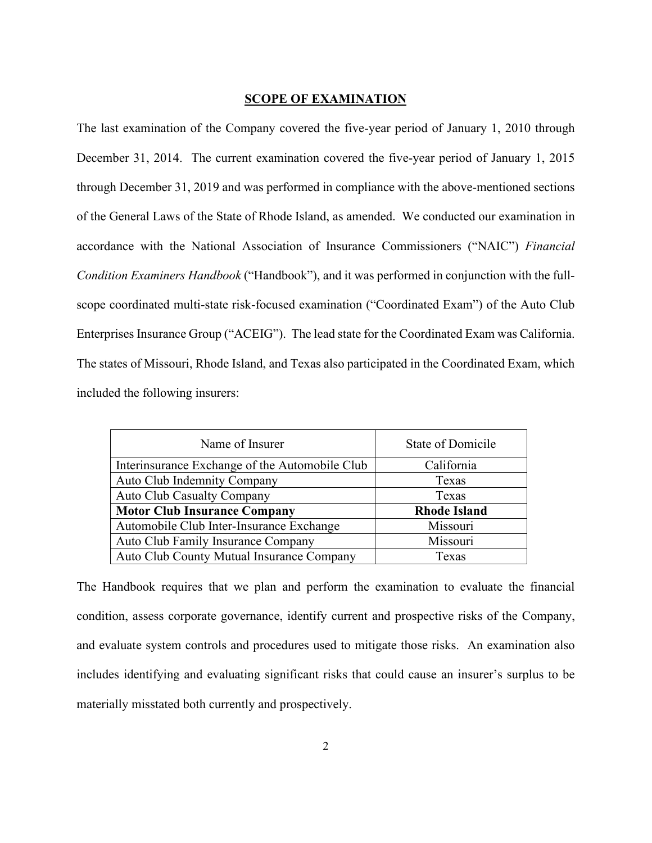#### **SCOPE OF EXAMINATION**

The last examination of the Company covered the five-year period of January 1, 2010 through December 31, 2014. The current examination covered the five-year period of January 1, 2015 through December 31, 2019 and was performed in compliance with the above-mentioned sections of the General Laws of the State of Rhode Island, as amended. We conducted our examination in accordance with the National Association of Insurance Commissioners ("NAIC") *Financial Condition Examiners Handbook* ("Handbook"), and it was performed in conjunction with the fullscope coordinated multi-state risk-focused examination ("Coordinated Exam") of the Auto Club Enterprises Insurance Group ("ACEIG"). The lead state for the Coordinated Exam was California. The states of Missouri, Rhode Island, and Texas also participated in the Coordinated Exam, which included the following insurers:

| Name of Insurer                                | <b>State of Domicile</b> |  |  |
|------------------------------------------------|--------------------------|--|--|
| Interinsurance Exchange of the Automobile Club | California               |  |  |
| Auto Club Indemnity Company                    | Texas                    |  |  |
| <b>Auto Club Casualty Company</b>              | Texas                    |  |  |
| <b>Motor Club Insurance Company</b>            | <b>Rhode Island</b>      |  |  |
| Automobile Club Inter-Insurance Exchange       | Missouri                 |  |  |
| Auto Club Family Insurance Company             | Missouri                 |  |  |
| Auto Club County Mutual Insurance Company      | Texas                    |  |  |

The Handbook requires that we plan and perform the examination to evaluate the financial condition, assess corporate governance, identify current and prospective risks of the Company, and evaluate system controls and procedures used to mitigate those risks. An examination also includes identifying and evaluating significant risks that could cause an insurer's surplus to be materially misstated both currently and prospectively.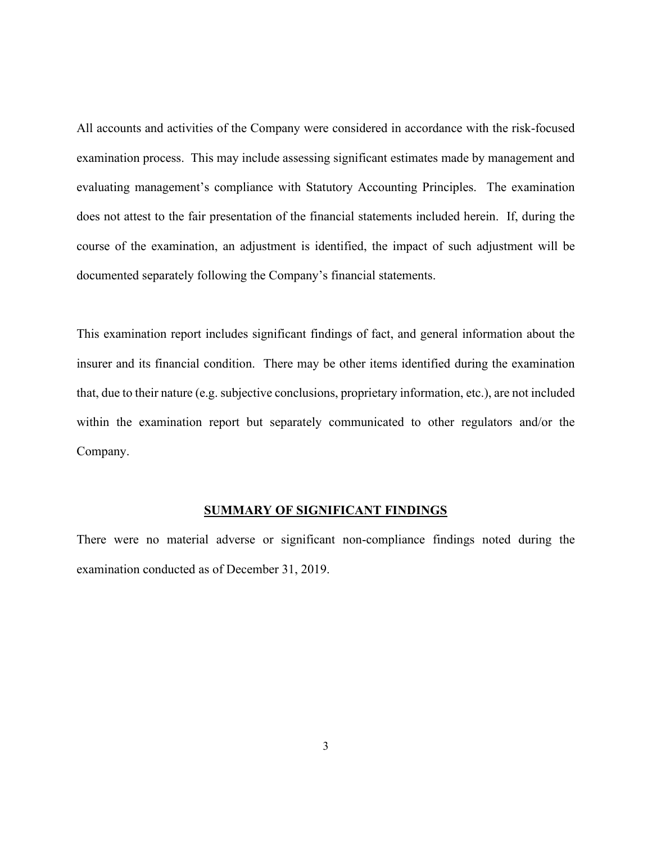All accounts and activities of the Company were considered in accordance with the risk-focused examination process. This may include assessing significant estimates made by management and evaluating management's compliance with Statutory Accounting Principles. The examination does not attest to the fair presentation of the financial statements included herein. If, during the course of the examination, an adjustment is identified, the impact of such adjustment will be documented separately following the Company's financial statements.

This examination report includes significant findings of fact, and general information about the insurer and its financial condition. There may be other items identified during the examination that, due to their nature (e.g. subjective conclusions, proprietary information, etc.), are not included within the examination report but separately communicated to other regulators and/or the Company.

#### **SUMMARY OF SIGNIFICANT FINDINGS**

There were no material adverse or significant non-compliance findings noted during the examination conducted as of December 31, 2019.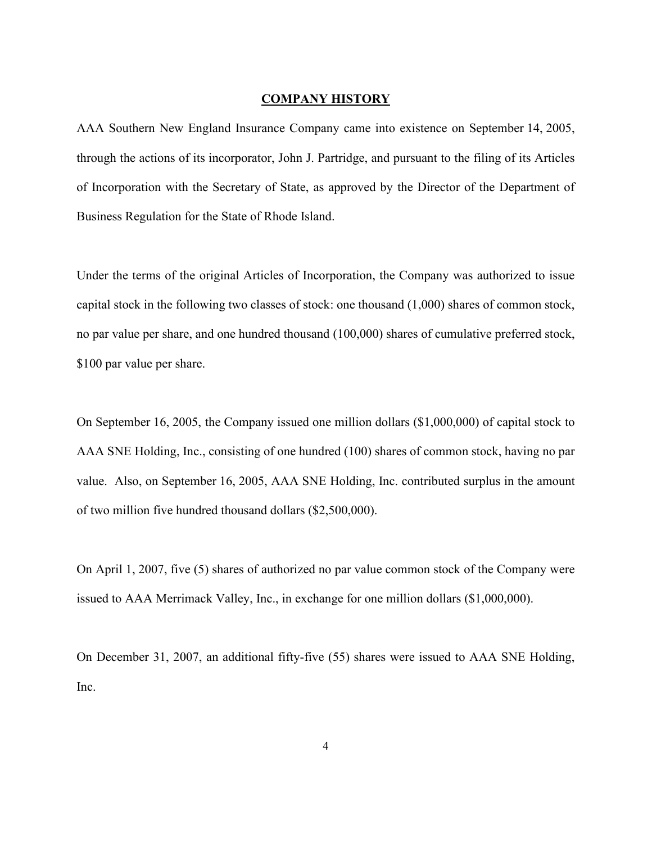#### **COMPANY HISTORY**

AAA Southern New England Insurance Company came into existence on September 14, 2005, through the actions of its incorporator, John J. Partridge, and pursuant to the filing of its Articles of Incorporation with the Secretary of State, as approved by the Director of the Department of Business Regulation for the State of Rhode Island.

Under the terms of the original Articles of Incorporation, the Company was authorized to issue capital stock in the following two classes of stock: one thousand (1,000) shares of common stock, no par value per share, and one hundred thousand (100,000) shares of cumulative preferred stock, \$100 par value per share.

On September 16, 2005, the Company issued one million dollars (\$1,000,000) of capital stock to AAA SNE Holding, Inc., consisting of one hundred (100) shares of common stock, having no par value. Also, on September 16, 2005, AAA SNE Holding, Inc. contributed surplus in the amount of two million five hundred thousand dollars (\$2,500,000).

On April 1, 2007, five (5) shares of authorized no par value common stock of the Company were issued to AAA Merrimack Valley, Inc., in exchange for one million dollars (\$1,000,000).

On December 31, 2007, an additional fifty-five (55) shares were issued to AAA SNE Holding, Inc.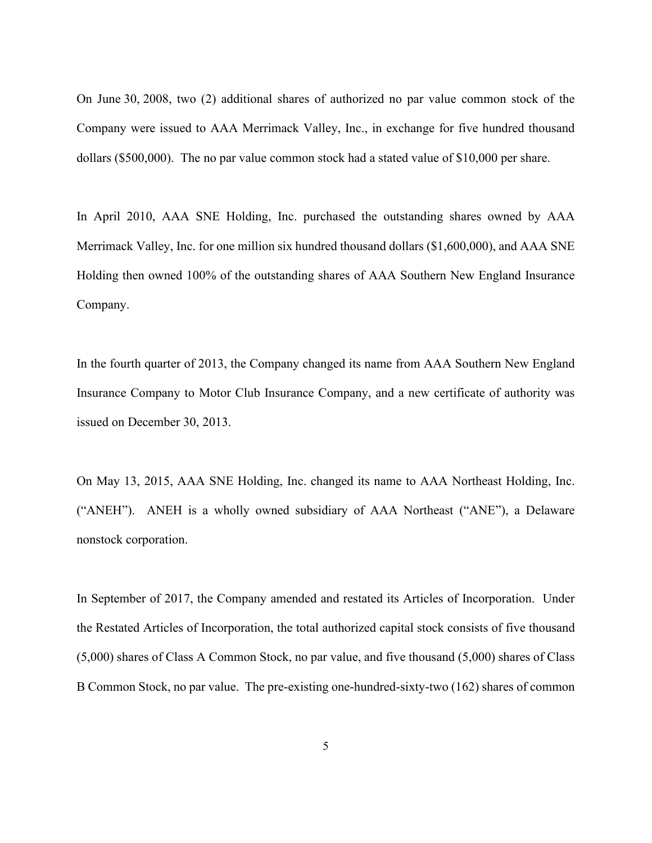On June 30, 2008, two (2) additional shares of authorized no par value common stock of the Company were issued to AAA Merrimack Valley, Inc., in exchange for five hundred thousand dollars (\$500,000). The no par value common stock had a stated value of \$10,000 per share.

In April 2010, AAA SNE Holding, Inc. purchased the outstanding shares owned by AAA Merrimack Valley, Inc. for one million six hundred thousand dollars (\$1,600,000), and AAA SNE Holding then owned 100% of the outstanding shares of AAA Southern New England Insurance Company.

In the fourth quarter of 2013, the Company changed its name from AAA Southern New England Insurance Company to Motor Club Insurance Company, and a new certificate of authority was issued on December 30, 2013.

On May 13, 2015, AAA SNE Holding, Inc. changed its name to AAA Northeast Holding, Inc. ("ANEH"). ANEH is a wholly owned subsidiary of AAA Northeast ("ANE"), a Delaware nonstock corporation.

In September of 2017, the Company amended and restated its Articles of Incorporation. Under the Restated Articles of Incorporation, the total authorized capital stock consists of five thousand (5,000) shares of Class A Common Stock, no par value, and five thousand (5,000) shares of Class B Common Stock, no par value. The pre-existing one-hundred-sixty-two (162) shares of common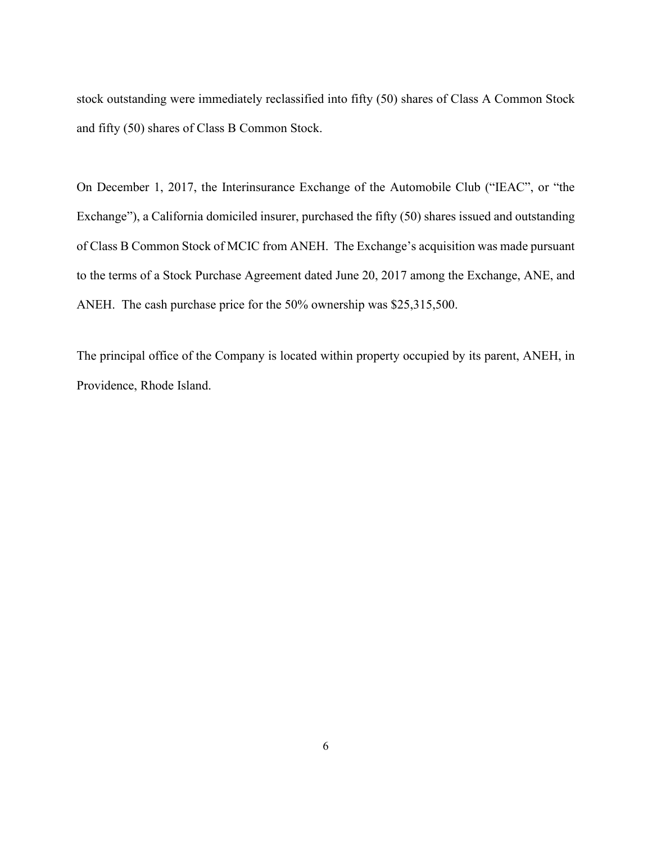stock outstanding were immediately reclassified into fifty (50) shares of Class A Common Stock and fifty (50) shares of Class B Common Stock.

On December 1, 2017, the Interinsurance Exchange of the Automobile Club ("IEAC", or "the Exchange"), a California domiciled insurer, purchased the fifty (50) shares issued and outstanding of Class B Common Stock of MCIC from ANEH. The Exchange's acquisition was made pursuant to the terms of a Stock Purchase Agreement dated June 20, 2017 among the Exchange, ANE, and ANEH. The cash purchase price for the 50% ownership was \$25,315,500.

The principal office of the Company is located within property occupied by its parent, ANEH, in Providence, Rhode Island.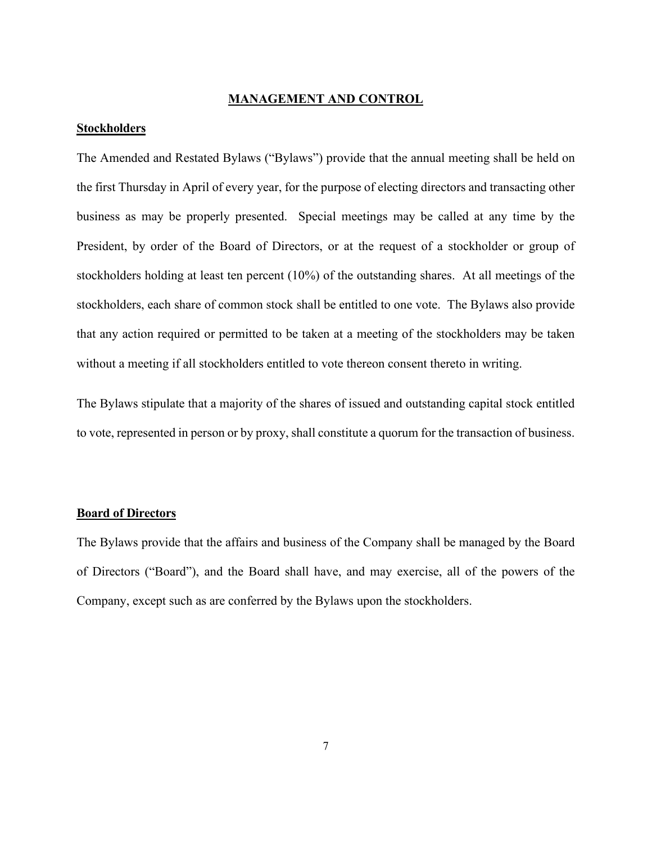#### **MANAGEMENT AND CONTROL**

### **Stockholders**

The Amended and Restated Bylaws ("Bylaws") provide that the annual meeting shall be held on the first Thursday in April of every year, for the purpose of electing directors and transacting other business as may be properly presented. Special meetings may be called at any time by the President, by order of the Board of Directors, or at the request of a stockholder or group of stockholders holding at least ten percent (10%) of the outstanding shares. At all meetings of the stockholders, each share of common stock shall be entitled to one vote. The Bylaws also provide that any action required or permitted to be taken at a meeting of the stockholders may be taken without a meeting if all stockholders entitled to vote thereon consent thereto in writing.

The Bylaws stipulate that a majority of the shares of issued and outstanding capital stock entitled to vote, represented in person or by proxy, shall constitute a quorum for the transaction of business.

#### **Board of Directors**

The Bylaws provide that the affairs and business of the Company shall be managed by the Board of Directors ("Board"), and the Board shall have, and may exercise, all of the powers of the Company, except such as are conferred by the Bylaws upon the stockholders.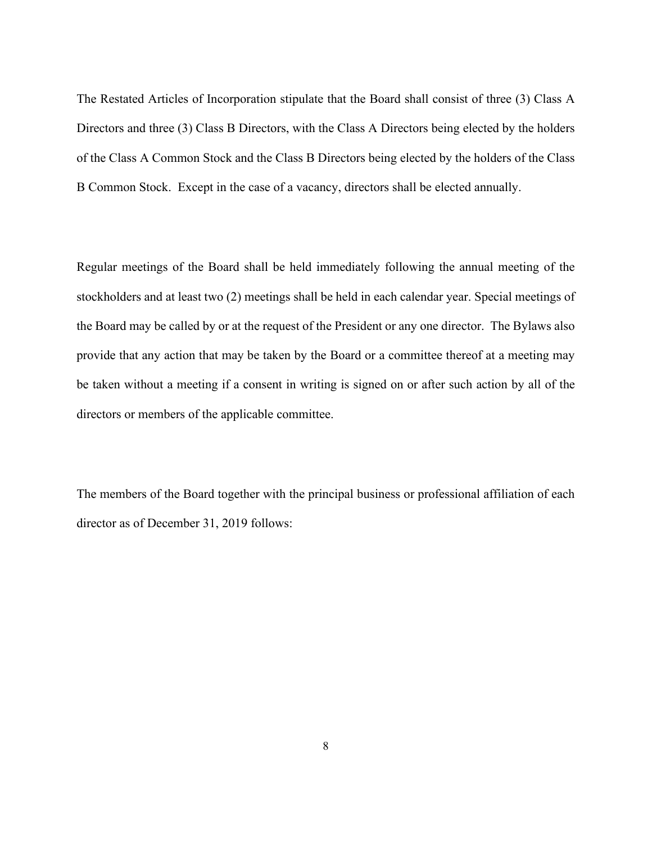The Restated Articles of Incorporation stipulate that the Board shall consist of three (3) Class A Directors and three (3) Class B Directors, with the Class A Directors being elected by the holders of the Class A Common Stock and the Class B Directors being elected by the holders of the Class B Common Stock. Except in the case of a vacancy, directors shall be elected annually.

Regular meetings of the Board shall be held immediately following the annual meeting of the stockholders and at least two (2) meetings shall be held in each calendar year. Special meetings of the Board may be called by or at the request of the President or any one director. The Bylaws also provide that any action that may be taken by the Board or a committee thereof at a meeting may be taken without a meeting if a consent in writing is signed on or after such action by all of the directors or members of the applicable committee.

The members of the Board together with the principal business or professional affiliation of each director as of December 31, 2019 follows: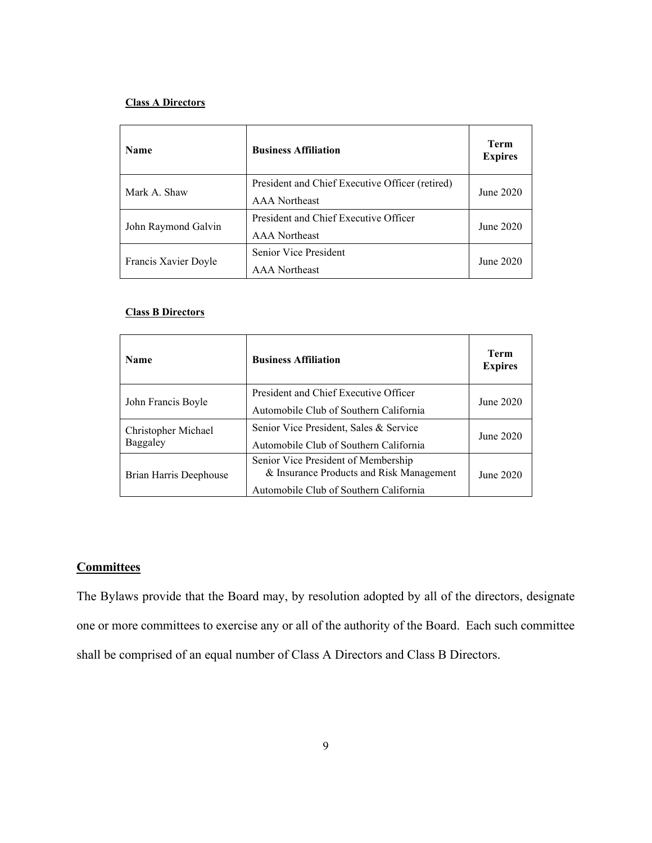#### **Class A Directors**

| <b>Name</b>          | <b>Business Affiliation</b>                     | Term<br><b>Expires</b> |  |
|----------------------|-------------------------------------------------|------------------------|--|
| Mark A. Shaw         | President and Chief Executive Officer (retired) | June 2020              |  |
|                      | <b>AAA</b> Northeast                            |                        |  |
|                      | President and Chief Executive Officer           |                        |  |
| John Raymond Galvin  | <b>AAA</b> Northeast                            | June 2020              |  |
|                      | Senior Vice President                           |                        |  |
| Francis Xavier Doyle | <b>AAA</b> Northeast                            | June 2020              |  |

#### **Class B Directors**

| <b>Name</b>            | <b>Business Affiliation</b>                                                     | <b>Term</b><br><b>Expires</b> |  |
|------------------------|---------------------------------------------------------------------------------|-------------------------------|--|
|                        | President and Chief Executive Officer                                           | June 2020                     |  |
| John Francis Boyle     | Automobile Club of Southern California                                          |                               |  |
| Christopher Michael    | Senior Vice President, Sales & Service                                          | June 2020                     |  |
| Baggaley               | Automobile Club of Southern California                                          |                               |  |
| Brian Harris Deephouse | Senior Vice President of Membership<br>& Insurance Products and Risk Management | June 2020                     |  |
|                        | Automobile Club of Southern California                                          |                               |  |

## **Committees**

The Bylaws provide that the Board may, by resolution adopted by all of the directors, designate one or more committees to exercise any or all of the authority of the Board. Each such committee shall be comprised of an equal number of Class A Directors and Class B Directors.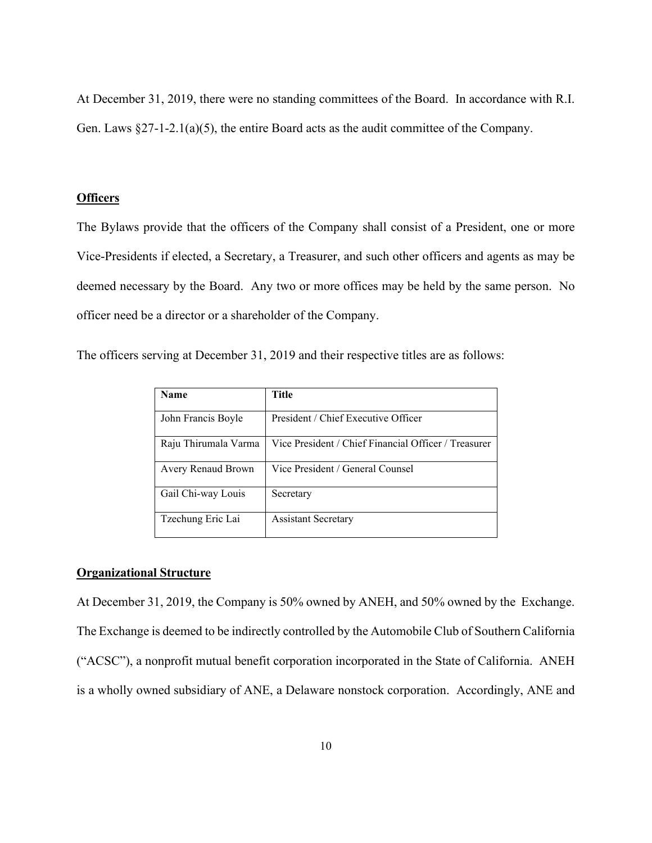At December 31, 2019, there were no standing committees of the Board. In accordance with R.I. Gen. Laws §27-1-2.1(a)(5), the entire Board acts as the audit committee of the Company.

#### **Officers**

The Bylaws provide that the officers of the Company shall consist of a President, one or more Vice-Presidents if elected, a Secretary, a Treasurer, and such other officers and agents as may be deemed necessary by the Board. Any two or more offices may be held by the same person. No officer need be a director or a shareholder of the Company.

The officers serving at December 31, 2019 and their respective titles are as follows:

| Name                 | <b>Title</b>                                         |
|----------------------|------------------------------------------------------|
| John Francis Boyle   | President / Chief Executive Officer                  |
| Raju Thirumala Varma | Vice President / Chief Financial Officer / Treasurer |
| Avery Renaud Brown   | Vice President / General Counsel                     |
| Gail Chi-way Louis   | Secretary                                            |
| Tzechung Eric Lai    | <b>Assistant Secretary</b>                           |

#### **Organizational Structure**

At December 31, 2019, the Company is 50% owned by ANEH, and 50% owned by the Exchange. The Exchange is deemed to be indirectly controlled by the Automobile Club of Southern California ("ACSC"), a nonprofit mutual benefit corporation incorporated in the State of California. ANEH is a wholly owned subsidiary of ANE, a Delaware nonstock corporation. Accordingly, ANE and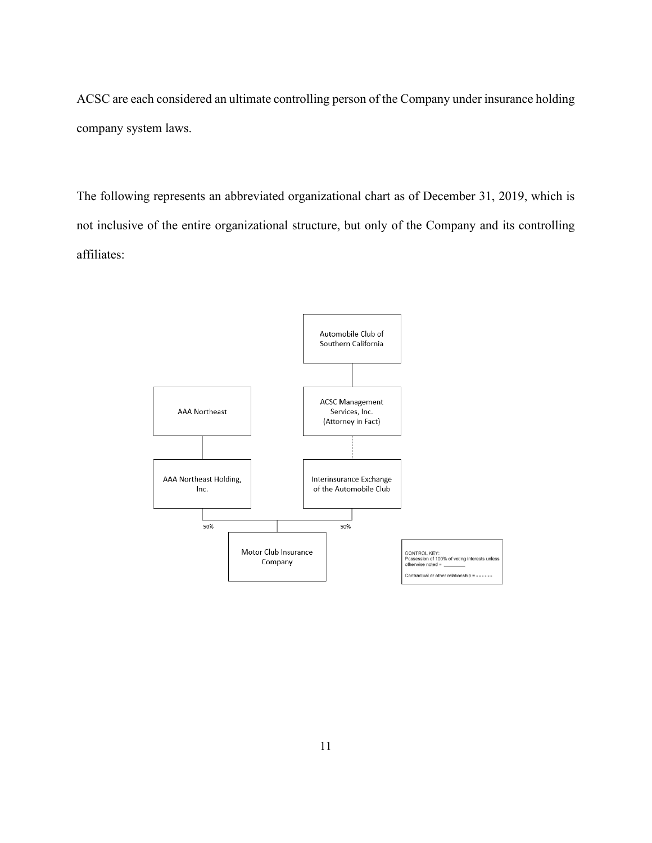ACSC are each considered an ultimate controlling person of the Company under insurance holding company system laws.

The following represents an abbreviated organizational chart as of December 31, 2019, which is not inclusive of the entire organizational structure, but only of the Company and its controlling affiliates:

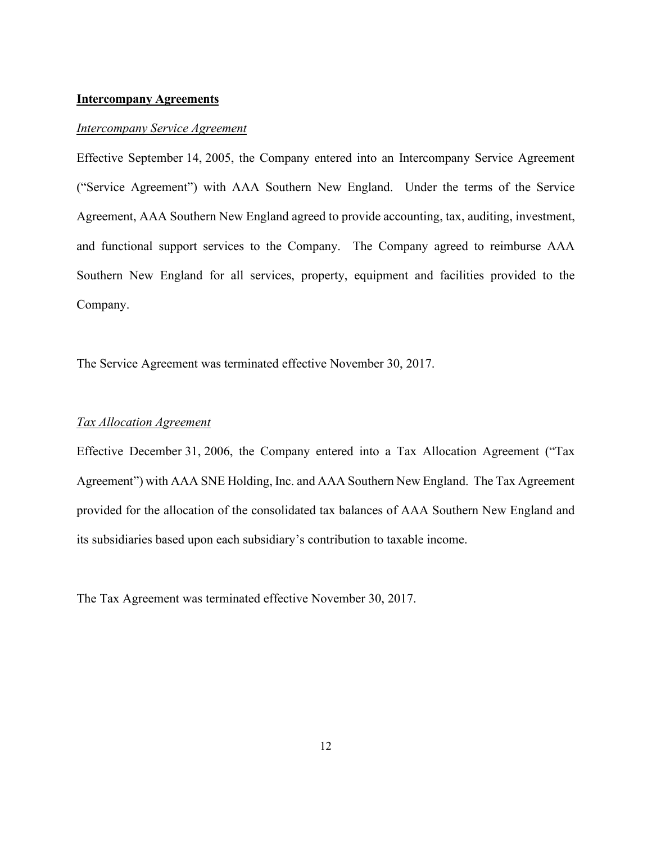#### **Intercompany Agreements**

#### *Intercompany Service Agreement*

Effective September 14, 2005, the Company entered into an Intercompany Service Agreement ("Service Agreement") with AAA Southern New England. Under the terms of the Service Agreement, AAA Southern New England agreed to provide accounting, tax, auditing, investment, and functional support services to the Company. The Company agreed to reimburse AAA Southern New England for all services, property, equipment and facilities provided to the Company.

The Service Agreement was terminated effective November 30, 2017.

#### *Tax Allocation Agreement*

Effective December 31, 2006, the Company entered into a Tax Allocation Agreement ("Tax Agreement") with AAA SNE Holding, Inc. and AAA Southern New England. The Tax Agreement provided for the allocation of the consolidated tax balances of AAA Southern New England and its subsidiaries based upon each subsidiary's contribution to taxable income.

The Tax Agreement was terminated effective November 30, 2017.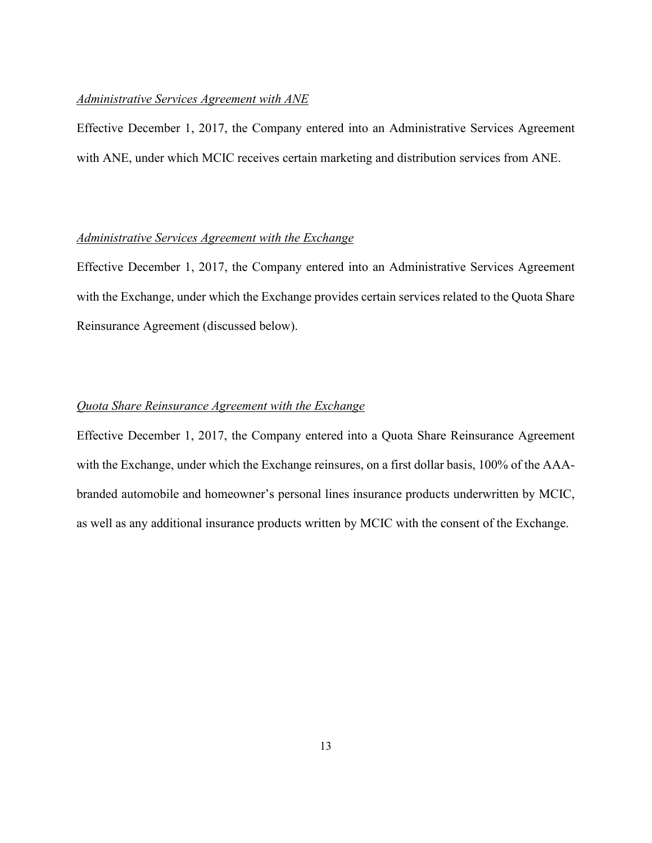#### *Administrative Services Agreement with ANE*

Effective December 1, 2017, the Company entered into an Administrative Services Agreement with ANE, under which MCIC receives certain marketing and distribution services from ANE.

### *Administrative Services Agreement with the Exchange*

Effective December 1, 2017, the Company entered into an Administrative Services Agreement with the Exchange, under which the Exchange provides certain services related to the Quota Share Reinsurance Agreement (discussed below).

## *Quota Share Reinsurance Agreement with the Exchange*

Effective December 1, 2017, the Company entered into a Quota Share Reinsurance Agreement with the Exchange, under which the Exchange reinsures, on a first dollar basis, 100% of the AAAbranded automobile and homeowner's personal lines insurance products underwritten by MCIC, as well as any additional insurance products written by MCIC with the consent of the Exchange.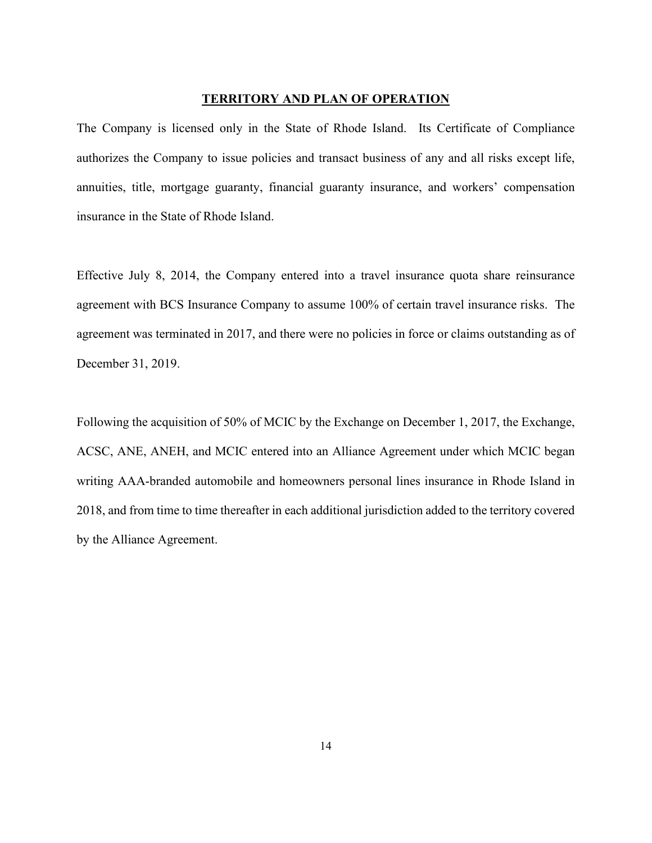#### **TERRITORY AND PLAN OF OPERATION**

The Company is licensed only in the State of Rhode Island. Its Certificate of Compliance authorizes the Company to issue policies and transact business of any and all risks except life, annuities, title, mortgage guaranty, financial guaranty insurance, and workers' compensation insurance in the State of Rhode Island.

Effective July 8, 2014, the Company entered into a travel insurance quota share reinsurance agreement with BCS Insurance Company to assume 100% of certain travel insurance risks. The agreement was terminated in 2017, and there were no policies in force or claims outstanding as of December 31, 2019.

Following the acquisition of 50% of MCIC by the Exchange on December 1, 2017, the Exchange, ACSC, ANE, ANEH, and MCIC entered into an Alliance Agreement under which MCIC began writing AAA-branded automobile and homeowners personal lines insurance in Rhode Island in 2018, and from time to time thereafter in each additional jurisdiction added to the territory covered by the Alliance Agreement.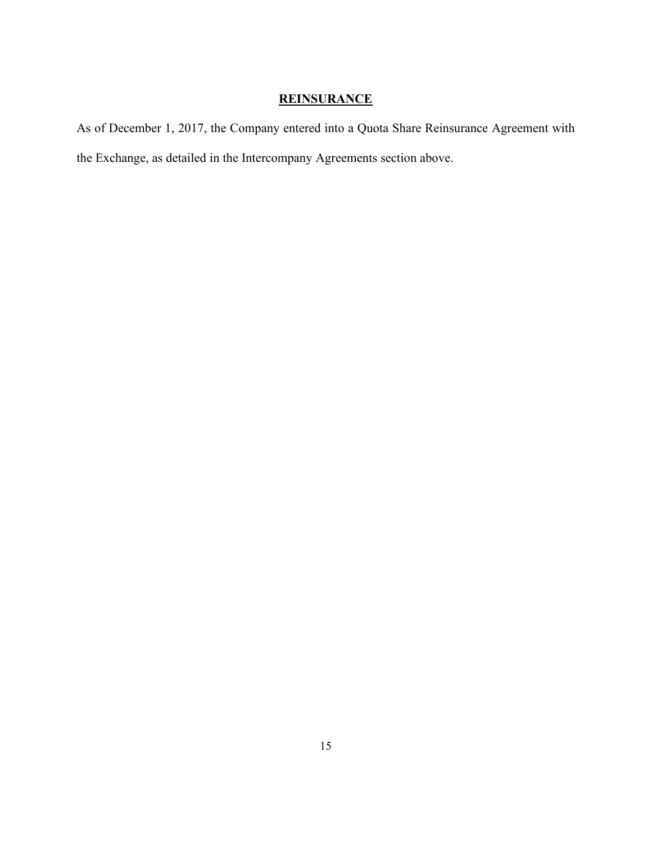# **REINSURANCE**

As of December 1, 2017, the Company entered into a Quota Share Reinsurance Agreement with the Exchange, as detailed in the Intercompany Agreements section above.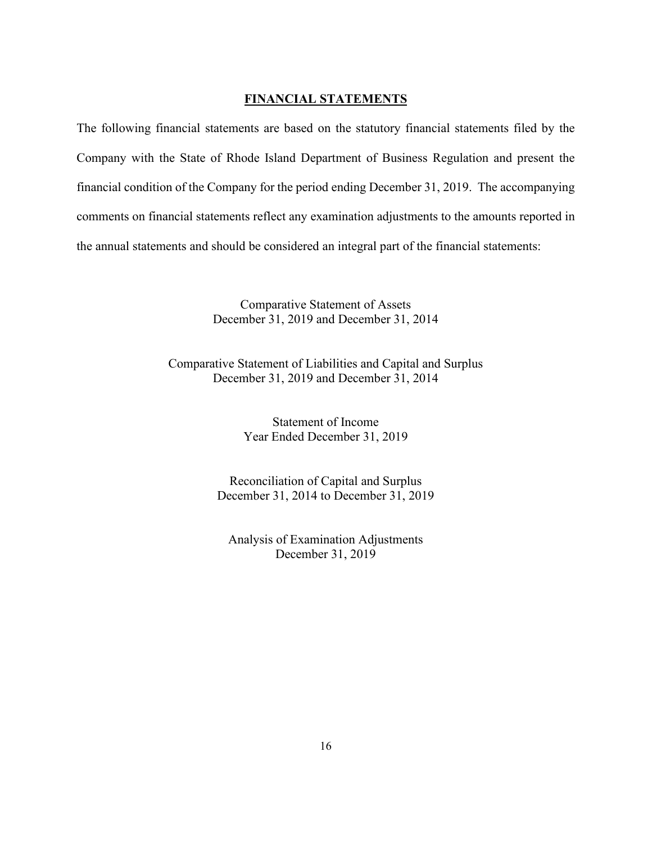### **FINANCIAL STATEMENTS**

The following financial statements are based on the statutory financial statements filed by the Company with the State of Rhode Island Department of Business Regulation and present the financial condition of the Company for the period ending December 31, 2019. The accompanying comments on financial statements reflect any examination adjustments to the amounts reported in the annual statements and should be considered an integral part of the financial statements:

> Comparative Statement of Assets December 31, 2019 and December 31, 2014

Comparative Statement of Liabilities and Capital and Surplus December 31, 2019 and December 31, 2014

> Statement of Income Year Ended December 31, 2019

Reconciliation of Capital and Surplus December 31, 2014 to December 31, 2019

Analysis of Examination Adjustments December 31, 2019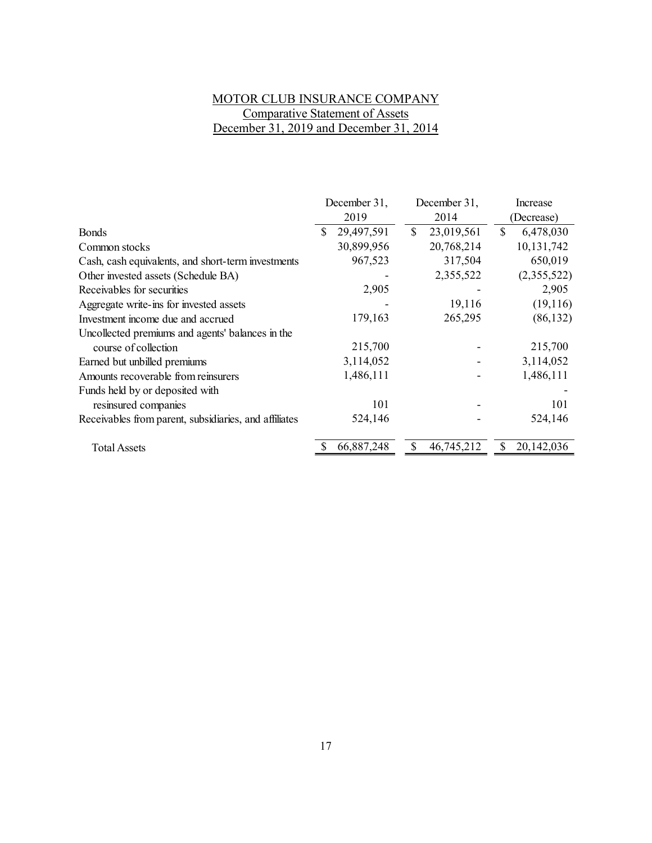# MOTOR CLUB INSURANCE COMPANY Comparative Statement of Assets December 31, 2019 and December 31, 2014

|                                                       | December 31, | December 31,     | Increase        |
|-------------------------------------------------------|--------------|------------------|-----------------|
|                                                       | 2019         | 2014             | (Decrease)      |
| <b>Bonds</b>                                          | 29,497,591   | \$<br>23,019,561 | \$<br>6,478,030 |
| Common stocks                                         | 30,899,956   | 20,768,214       | 10,131,742      |
| Cash, cash equivalents, and short-term investments    | 967,523      | 317,504          | 650,019         |
| Other invested assets (Schedule BA)                   |              | 2,355,522        | (2,355,522)     |
| Receivables for securities                            | 2,905        |                  | 2,905           |
| Aggregate write-ins for invested assets               |              | 19,116           | (19,116)        |
| Investment income due and accrued                     | 179,163      | 265,295          | (86, 132)       |
| Uncollected premiums and agents' balances in the      |              |                  |                 |
| course of collection                                  | 215,700      |                  | 215,700         |
| Earned but unbilled premiums                          | 3,114,052    |                  | 3,114,052       |
| Amounts recoverable from reinsurers                   | 1,486,111    |                  | 1,486,111       |
| Funds held by or deposited with                       |              |                  |                 |
| resinsured companies                                  | 101          |                  | 101             |
| Receivables from parent, subsidiaries, and affiliates | 524,146      |                  | 524,146         |
| <b>Total Assets</b>                                   | 66,887,248   | 46,745,212       | 20,142,036      |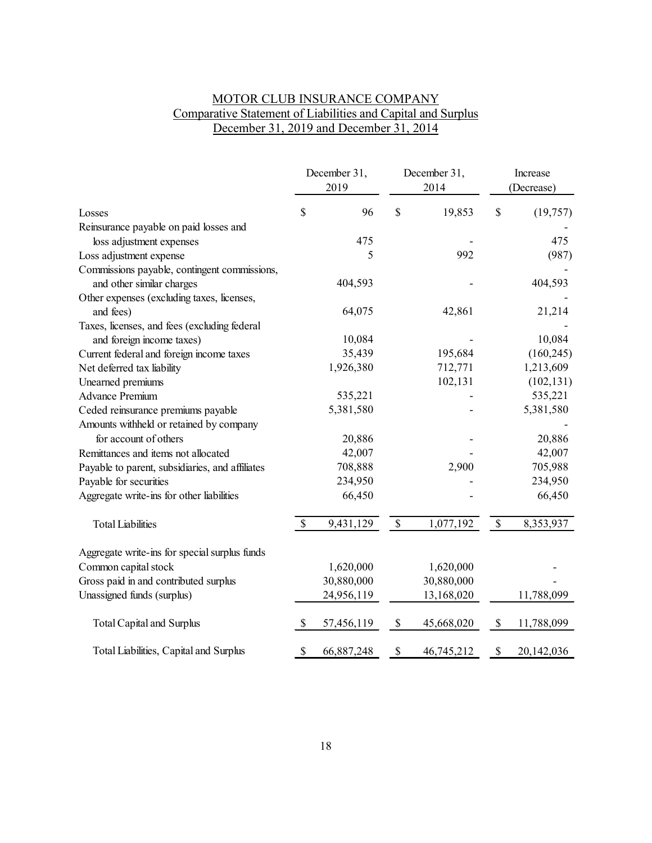# MOTOR CLUB INSURANCE COMPANY Comparative Statement of Liabilities and Capital and Surplus December 31, 2019 and December 31, 2014

|                                                 | December 31,<br>2019 |            | December 31,<br>2014 |            | Increase<br>(Decrease) |            |
|-------------------------------------------------|----------------------|------------|----------------------|------------|------------------------|------------|
| Losses                                          | \$                   | 96         | $\$$                 | 19,853     | \$                     | (19, 757)  |
| Reinsurance payable on paid losses and          |                      |            |                      |            |                        |            |
| loss adjustment expenses                        |                      | 475        |                      |            |                        | 475        |
| Loss adjustment expense                         |                      | 5          |                      | 992        |                        | (987)      |
| Commissions payable, contingent commissions,    |                      |            |                      |            |                        |            |
| and other similar charges                       |                      | 404,593    |                      |            |                        | 404,593    |
| Other expenses (excluding taxes, licenses,      |                      |            |                      |            |                        |            |
| and fees)                                       |                      | 64,075     |                      | 42,861     |                        | 21,214     |
| Taxes, licenses, and fees (excluding federal    |                      |            |                      |            |                        |            |
| and foreign income taxes)                       |                      | 10,084     |                      |            |                        | 10,084     |
| Current federal and foreign income taxes        |                      | 35,439     |                      | 195,684    |                        | (160, 245) |
| Net deferred tax liability                      |                      | 1,926,380  |                      | 712,771    |                        | 1,213,609  |
| Unearned premiums                               |                      |            |                      | 102,131    |                        | (102, 131) |
| <b>Advance Premium</b>                          |                      | 535,221    |                      |            |                        | 535,221    |
| Ceded reinsurance premiums payable              |                      | 5,381,580  |                      |            |                        | 5,381,580  |
| Amounts withheld or retained by company         |                      |            |                      |            |                        |            |
| for account of others                           |                      | 20,886     |                      |            |                        | 20,886     |
| Remittances and items not allocated             |                      | 42,007     |                      |            |                        | 42,007     |
| Payable to parent, subsidiaries, and affiliates |                      | 708,888    |                      | 2,900      |                        | 705,988    |
| Payable for securities                          |                      | 234,950    |                      |            |                        | 234,950    |
| Aggregate write-ins for other liabilities       |                      | 66,450     |                      |            |                        | 66,450     |
| <b>Total Liabilities</b>                        | \$                   | 9,431,129  | \$                   | 1,077,192  | \$                     | 8,353,937  |
| Aggregate write-ins for special surplus funds   |                      |            |                      |            |                        |            |
| Common capital stock                            |                      | 1,620,000  |                      | 1,620,000  |                        |            |
| Gross paid in and contributed surplus           |                      | 30,880,000 |                      | 30,880,000 |                        |            |
| Unassigned funds (surplus)                      |                      | 24,956,119 |                      | 13,168,020 |                        | 11,788,099 |
| <b>Total Capital and Surplus</b>                | $\mathcal{S}$        | 57,456,119 | $\$$                 | 45,668,020 | \$                     | 11,788,099 |
| Total Liabilities, Capital and Surplus          | \$                   | 66,887,248 | $\$$                 | 46,745,212 | \$                     | 20,142,036 |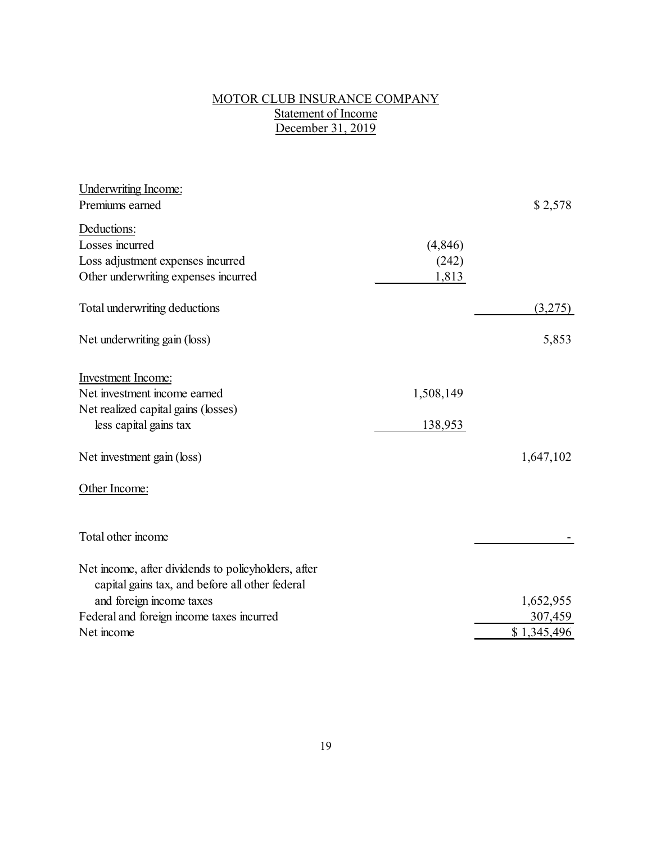## MOTOR CLUB INSURANCE COMPANY Statement of Income December 31, 2019

| Underwriting Income:                                |           |             |
|-----------------------------------------------------|-----------|-------------|
| Premiums earned                                     |           | \$2,578     |
| Deductions:                                         |           |             |
| Losses incurred                                     | (4,846)   |             |
| Loss adjustment expenses incurred                   | (242)     |             |
| Other underwriting expenses incurred                | 1,813     |             |
| Total underwriting deductions                       |           | (3,275)     |
| Net underwriting gain (loss)                        |           | 5,853       |
| <b>Investment Income:</b>                           |           |             |
| Net investment income earned                        | 1,508,149 |             |
| Net realized capital gains (losses)                 |           |             |
| less capital gains tax                              | 138,953   |             |
| Net investment gain (loss)                          |           | 1,647,102   |
| Other Income:                                       |           |             |
| Total other income                                  |           |             |
| Net income, after dividends to policyholders, after |           |             |
| capital gains tax, and before all other federal     |           |             |
| and foreign income taxes                            |           | 1,652,955   |
| Federal and foreign income taxes incurred           |           | 307,459     |
| Net income                                          |           | \$1,345,496 |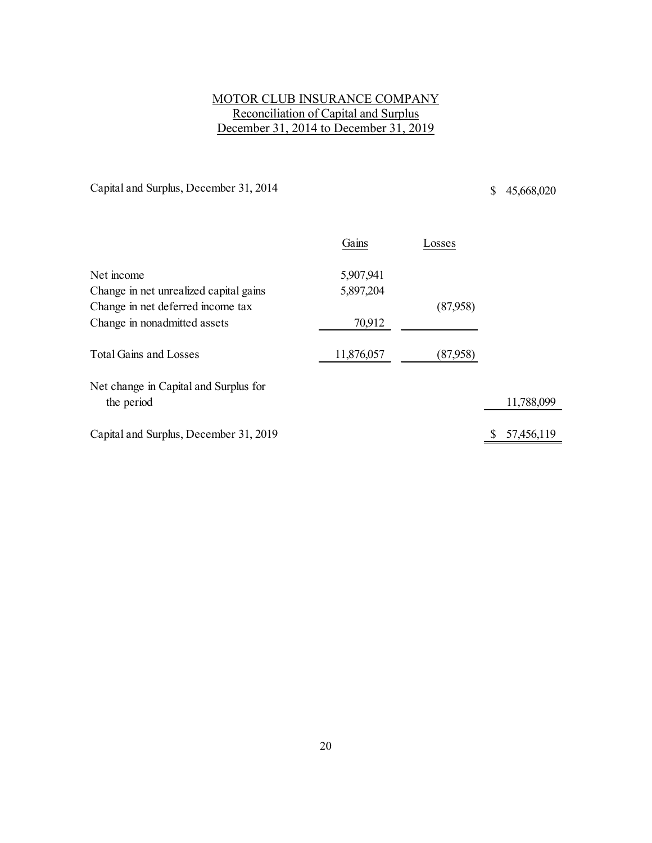# MOTOR CLUB INSURANCE COMPANY Reconciliation of Capital and Surplus December 31, 2014 to December 31, 2019

Capital and Surplus, December 31, 2014 \$ 45,668,020

|                                        | Gains      | Losses   |            |
|----------------------------------------|------------|----------|------------|
| Net income                             | 5,907,941  |          |            |
| Change in net unrealized capital gains | 5,897,204  |          |            |
| Change in net deferred income tax      |            | (87,958) |            |
| Change in nonadmitted assets           | 70,912     |          |            |
| <b>Total Gains and Losses</b>          | 11,876,057 | (87,958) |            |
| Net change in Capital and Surplus for  |            |          |            |
| the period                             |            |          | 11,788,099 |
| Capital and Surplus, December 31, 2019 |            |          | 57,456,119 |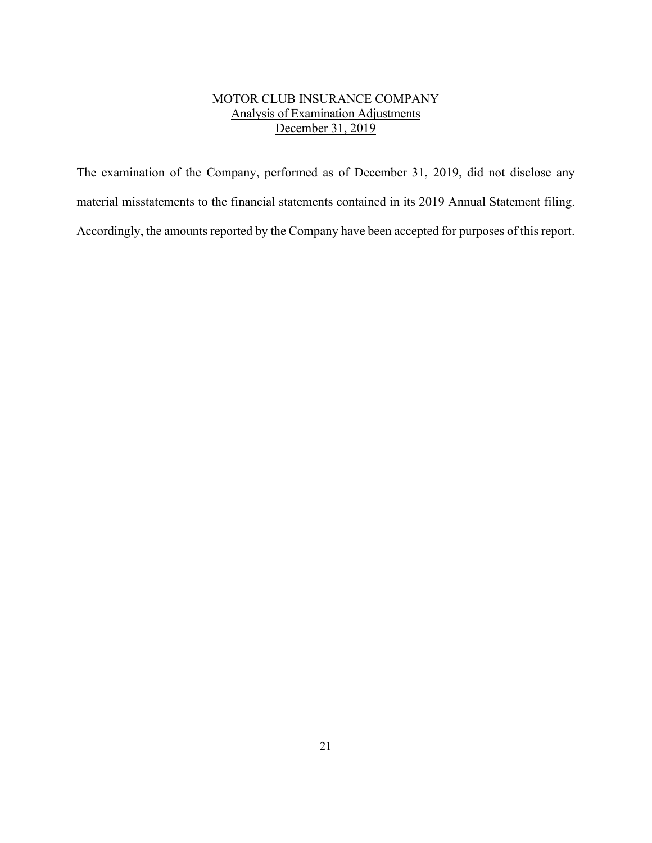# MOTOR CLUB INSURANCE COMPANY Analysis of Examination Adjustments December 31, 2019

The examination of the Company, performed as of December 31, 2019, did not disclose any material misstatements to the financial statements contained in its 2019 Annual Statement filing. Accordingly, the amounts reported by the Company have been accepted for purposes of this report.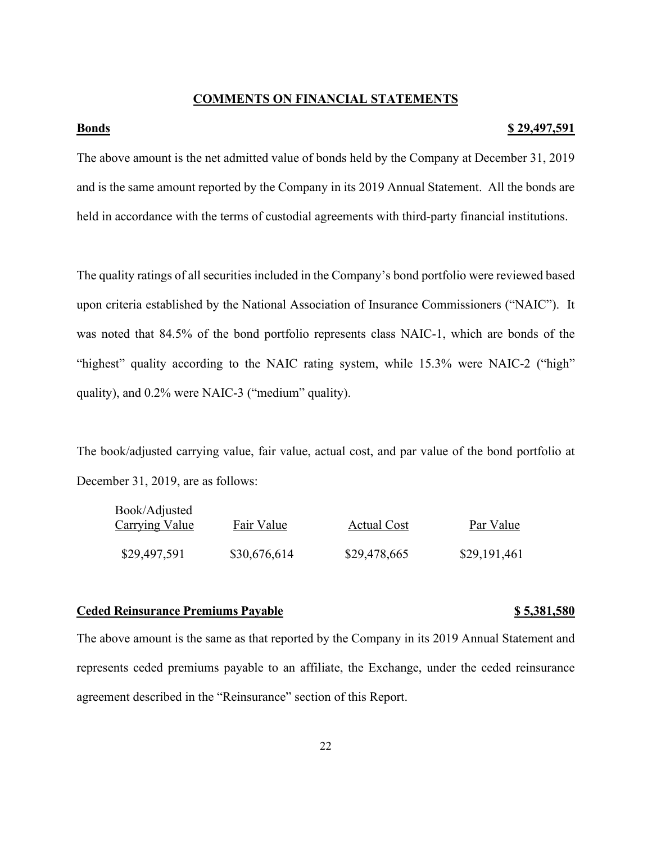#### **COMMENTS ON FINANCIAL STATEMENTS**

#### **<u>Bonds</u> 5.29,497,591**

The above amount is the net admitted value of bonds held by the Company at December 31, 2019 and is the same amount reported by the Company in its 2019 Annual Statement. All the bonds are held in accordance with the terms of custodial agreements with third-party financial institutions.

The quality ratings of all securities included in the Company's bond portfolio were reviewed based upon criteria established by the National Association of Insurance Commissioners ("NAIC"). It was noted that 84.5% of the bond portfolio represents class NAIC-1, which are bonds of the "highest" quality according to the NAIC rating system, while 15.3% were NAIC-2 ("high" quality), and 0.2% were NAIC-3 ("medium" quality).

The book/adjusted carrying value, fair value, actual cost, and par value of the bond portfolio at December 31, 2019, are as follows:

| Book/Adjusted<br>Fair Value<br><b>Carrying Value</b> |              | <b>Actual Cost</b> | Par Value    |
|------------------------------------------------------|--------------|--------------------|--------------|
| \$29,497,591                                         | \$30,676,614 | \$29,478,665       | \$29,191,461 |

#### **Ceded Reinsurance Premiums Payable \$ 5,381,580**

The above amount is the same as that reported by the Company in its 2019 Annual Statement and represents ceded premiums payable to an affiliate, the Exchange, under the ceded reinsurance agreement described in the "Reinsurance" section of this Report.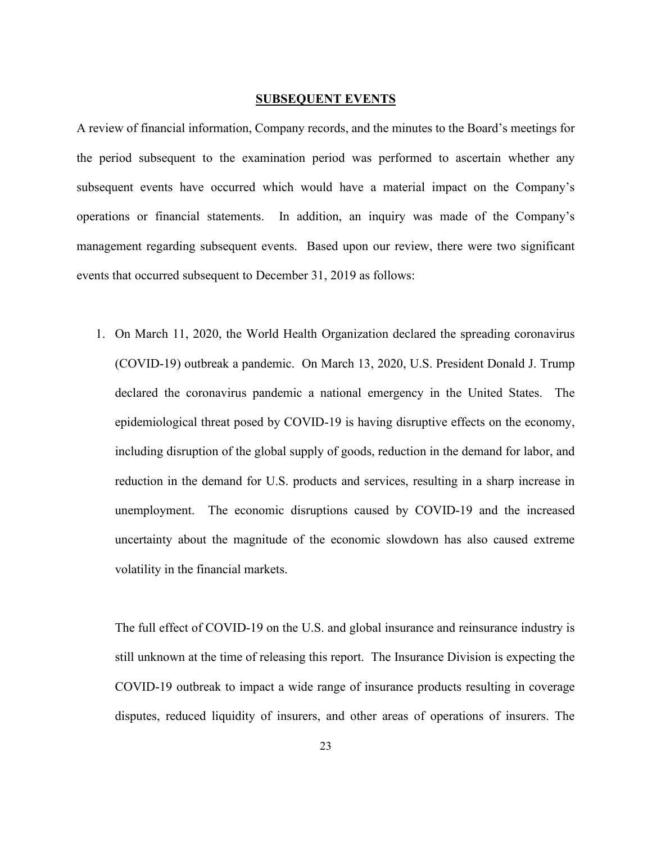#### **SUBSEQUENT EVENTS**

A review of financial information, Company records, and the minutes to the Board's meetings for the period subsequent to the examination period was performed to ascertain whether any subsequent events have occurred which would have a material impact on the Company's operations or financial statements. In addition, an inquiry was made of the Company's management regarding subsequent events. Based upon our review, there were two significant events that occurred subsequent to December 31, 2019 as follows:

1. On March 11, 2020, the World Health Organization declared the spreading coronavirus (COVID-19) outbreak a pandemic. On March 13, 2020, U.S. President Donald J. Trump declared the coronavirus pandemic a national emergency in the United States. The epidemiological threat posed by COVID-19 is having disruptive effects on the economy, including disruption of the global supply of goods, reduction in the demand for labor, and reduction in the demand for U.S. products and services, resulting in a sharp increase in unemployment. The economic disruptions caused by COVID-19 and the increased uncertainty about the magnitude of the economic slowdown has also caused extreme volatility in the financial markets.

The full effect of COVID-19 on the U.S. and global insurance and reinsurance industry is still unknown at the time of releasing this report. The Insurance Division is expecting the COVID-19 outbreak to impact a wide range of insurance products resulting in coverage disputes, reduced liquidity of insurers, and other areas of operations of insurers. The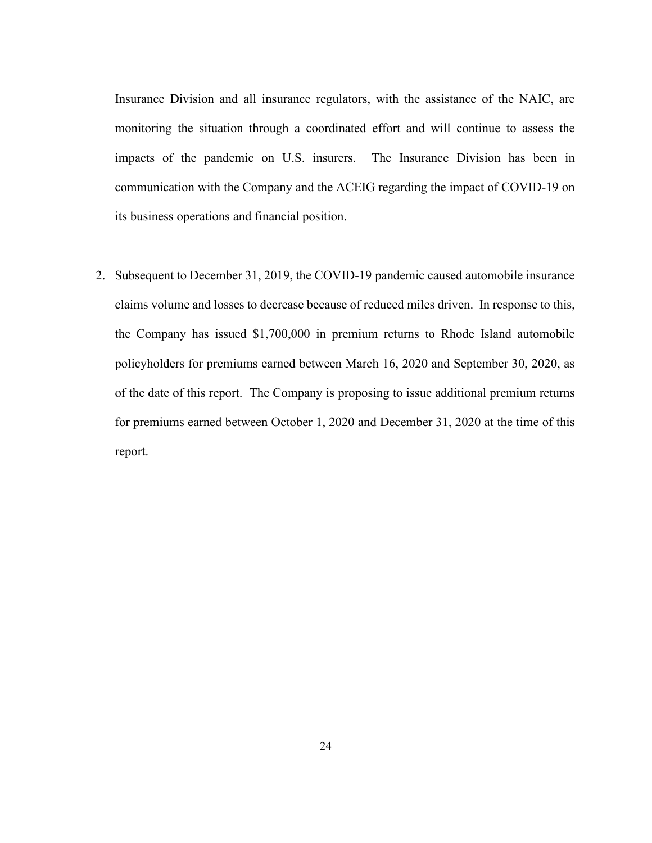Insurance Division and all insurance regulators, with the assistance of the NAIC, are monitoring the situation through a coordinated effort and will continue to assess the impacts of the pandemic on U.S. insurers. The Insurance Division has been in communication with the Company and the ACEIG regarding the impact of COVID-19 on its business operations and financial position.

2. Subsequent to December 31, 2019, the COVID-19 pandemic caused automobile insurance claims volume and losses to decrease because of reduced miles driven. In response to this, the Company has issued \$1,700,000 in premium returns to Rhode Island automobile policyholders for premiums earned between March 16, 2020 and September 30, 2020, as of the date of this report. The Company is proposing to issue additional premium returns for premiums earned between October 1, 2020 and December 31, 2020 at the time of this report.